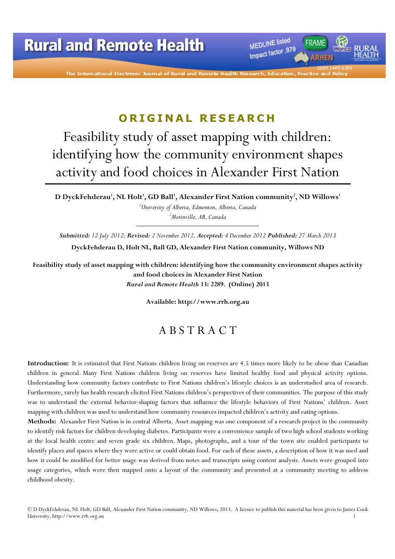

The International Electronic Journal of Rural and Remot

## ORIGINAL RESEARCH

# Feasibility study of asset mapping with children: identifying how the community environment shapes activity and food choices in Alexander First Nation

D DyckFehderau $^{\rm l}$ , NL Holt $^{\rm l}$ , GD Ball $^{\rm l}$ , Alexander First Nation community $^{\rm 2}$ , ND Willows $^{\rm l}$  $1$ University of Alberta, Edmonton, Alberta, Canada  ${}^{2}$ Morinville, AB, Canada

Submitted: 12 July 2012; Revised: 2 November 2012, Accepted: 4 December 2012 Published: 27 March 2013 DyckFehderau D, Holt NL, Ball GD, Alexander First Nation community, Willows ND

Feasibility study of asset mapping with children: identifying how the community environment shapes activity and food choices in Alexander First Nation Rural and Remote Health 13: 2289. (Online) 2013

Available: http://www.rrh.org.au

## A B S T R A C T

Introduction: It is estimated that First Nations children living on reserves are 4.5 times more likely to be obese than Canadian children in general. Many First Nations children living on reserves have limited healthy food and physical activity options. Understanding how community factors contribute to First Nations children's lifestyle choices is an understudied area of research. Furthermore, rarely has health research elicited First Nations children's perspectives of their communities. The purpose of this study was to understand the external behavior-shaping factors that influence the lifestyle behaviors of First Nations' children. Asset mapping with children was used to understand how community resources impacted children's activity and eating options.

Methods: Alexander First Nation is in central Alberta. Asset mapping was one component of a research project in the community to identify risk factors for children developing diabetes. Participants were a convenience sample of two high school students working at the local health centre and seven grade six children. Maps, photographs, and a tour of the town site enabled participants to identify places and spaces where they were active or could obtain food. For each of these assets, a description of how it was used and how it could be modified for better usage was derived from notes and transcripts using content analysis. Assets were grouped into usage categories, which were then mapped onto a layout of the community and presented at a community meeting to address childhood obesity.

© D DyckFehderau, NL Holt, GD Ball, Alexander First Nation community, ND Willows, 2013. A licence to publish this material has been given to James Cook University, http://www.rrh.org.au 1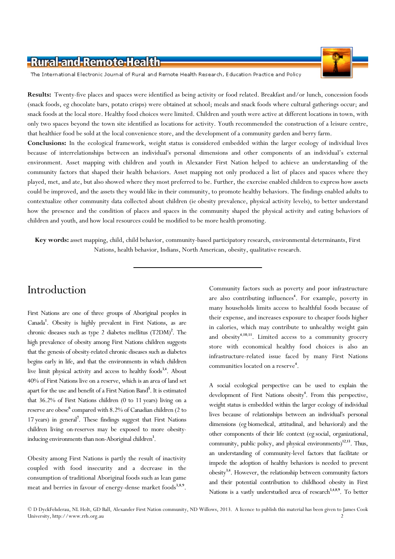The International Electronic Journal of Rural and Remote Health Research, Education Practice and Policy

Results: Twenty-five places and spaces were identified as being activity or food related. Breakfast and/or lunch, concession foods (snack foods, eg chocolate bars, potato crisps) were obtained at school; meals and snack foods where cultural gatherings occur; and snack foods at the local store. Healthy food choices were limited. Children and youth were active at different locations in town, with only two spaces beyond the town site identified as locations for activity. Youth recommended the construction of a leisure centre, that healthier food be sold at the local convenience store, and the development of a community garden and berry farm.

Conclusions: In the ecological framework, weight status is considered embedded within the larger ecology of individual lives because of interrelationships between an individual's personal dimensions and other components of an individual's external environment. Asset mapping with children and youth in Alexander First Nation helped to achieve an understanding of the community factors that shaped their health behaviors. Asset mapping not only produced a list of places and spaces where they played, met, and ate, but also showed where they most preferred to be. Further, the exercise enabled children to express how assets could be improved, and the assets they would like in their community, to promote healthy behaviors. The findings enabled adults to contextualize other community data collected about children (ie obesity prevalence, physical activity levels), to better understand how the presence and the condition of places and spaces in the community shaped the physical activity and eating behaviors of children and youth, and how local resources could be modified to be more health promoting.

Key words: asset mapping, child, child behavior, community-based participatory research, environmental determinants, First Nations, health behavior, Indians, North American, obesity, qualitative research.

## Introduction

First Nations are one of three groups of Aboriginal peoples in Canada<sup>1</sup>. Obesity is highly prevalent in First Nations, as are chronic diseases such as type 2 diabetes mellitus (T2DM)<sup>2</sup>. The high prevalence of obesity among First Nations children suggests that the genesis of obesity-related chronic diseases such as diabetes begins early in life, and that the environments in which children live limit physical activity and access to healthy foods<sup>3,4</sup>. About 40% of First Nations live on a reserve, which is an area of land set apart for the use and benefit of a First Nation Band<sup>5</sup>. It is estimated that 36.2% of First Nations children (0 to 11 years) living on a reserve are obese<sup>6</sup> compared with 8.2% of Canadian children (2 to 17 years) in general<sup>7</sup>. These findings suggest that First Nations children living on-reserves may be exposed to more obesityinducing environments than non-Aboriginal children<sup>3</sup>.

Obesity among First Nations is partly the result of inactivity coupled with food insecurity and a decrease in the consumption of traditional Aboriginal foods such as lean game meat and berries in favour of energy-dense market foods<sup>3,8,9</sup>. Community factors such as poverty and poor infrastructure are also contributing influences<sup>4</sup>. For example, poverty in many households limits access to healthful foods because of their expense, and increases exposure to cheaper foods higher in calories, which may contribute to unhealthy weight gain and obesity<sup>4,10,11</sup>. Limited access to a community grocery store with economical healthy food choices is also an infrastructure-related issue faced by many First Nations communities located on a reserve<sup>4</sup>.

A social ecological perspective can be used to explain the development of First Nations obesity<sup>4</sup>. From this perspective, weight status is embedded within the larger ecology of individual lives because of relationships between an individual's personal dimensions (eg biomedical, attitudinal, and behavioral) and the other components of their life context (eg social, organizational, community, public policy, and physical environments)<sup>12,13</sup>. Thus, an understanding of community-level factors that facilitate or impede the adoption of healthy behaviors is needed to prevent obesity<sup>3,4</sup>. However, the relationship between community factors and their potential contribution to childhood obesity in First Nations is a vastly understudied area of research<sup>3,4,8,9</sup>. To better

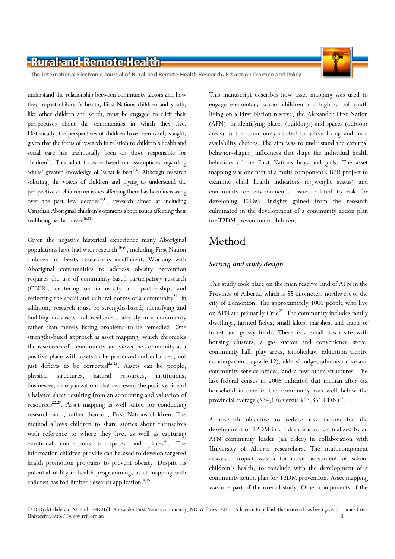The International Electronic Journal of Rural and Remote Health Research, Education Practice and Policy

understand the relationship between community factors and how they impact children's health, First Nations children and youth, like other children and youth, must be engaged to elicit their perspectives about the communities in which they live. Historically, the perspectives of children have been rarely sought, given that the focus of research in relation to children's health and social care has traditionally been on those responsible for children<sup>14</sup>. This adult focus is based on assumptions regarding adults' greater knowledge of 'what is best'<sup>14</sup>. Although research soliciting the voices of children and trying to understand the perspective of children on issues affecting them has been increasing over the past few decades<sup>14,15</sup>, research aimed at including Canadian Aboriginal children's opinions about issues affecting their wellbeing has been rare<sup>16,17</sup>.

Given the negative historical experience many Aboriginal populations have had with research<sup>18-20</sup>, including First Nation children in obesity research is insufficient. Working with Aboriginal communities to address obesity prevention requires the use of community-based participatory research (CBPR), centering on inclusivity and partnership, and reflecting the social and cultural norms of a community<sup>21</sup>. In addition, research must be strengths-based, identifying and building on assets and resiliencies already in a community rather than merely listing problems to be remedied. One strengths-based approach is asset mapping, which chronicles the resources of a community and views the community as a positive place with assets to be preserved and enhanced, not just deficits to be corrected<sup>22-24</sup>. Assets can be people, physical structures, natural resources, institutions, businesses, or organizations that represent the positive side of a balance sheet resulting from an accounting and valuation of resources<sup>22,25</sup>. Asset mapping is well-suited for conducting research with, rather than on, First Nations children. The method allows children to share stories about themselves with reference to where they live, as well as capturing emotional connections to spaces and places<sup>26</sup>. The information children provide can be used to develop targeted health promotion programs to prevent obesity. Despite its potential utility in health programming, asset mapping with children has had limited research application<sup>14,15</sup>.

This manuscript describes how asset mapping was used to engage elementary school children and high school youth living on a First Nation reserve, the Alexander First Nation (AFN), in identifying places (buildings) and spaces (outdoor areas) in the community related to active living and food availability choices. The aim was to understand the external behavior-shaping influences that shape the individual health behaviors of the First Nations boys and girls. The asset mapping was one part of a multi-component CBPR project to examine child health indicators (eg weight status) and community or environmental issues related to risk for developing T2DM. Insights gained from the research culminated in the development of a community action plan for T2DM prevention in children.

## Method

### Setting and study design

This study took place on the main reserve land of AFN in the Province of Alberta, which is 55 kilometers northwest of the city of Edmonton. The approximately 1000 people who live on AFN are primarily Cree<sup>27</sup>. The community includes family dwellings, farmed fields, small lakes, marshes, and tracts of forest and grassy fields. There is a small town site with housing clusters, a gas station and convenience store, community hall, play areas, Kipohtakaw Education Centre (kindergarten to grade 12), elders' lodge, administrative and community-service offices, and a few other structures. The last federal census in 2006 indicated that median after tax household income in the community was well below the provincial average ( $$34,176$  versus  $$63,361$  CDN)<sup>27</sup>.

A research objective to reduce risk factors for the development of T2DM in children was conceptualized by an AFN community leader (an elder) in collaboration with University of Alberta researchers. The multicomponent research project was a formative assessment of school children's health, to conclude with the development of a community action plan for T2DM prevention. Asset mapping was one part of the overall study. Other components of the

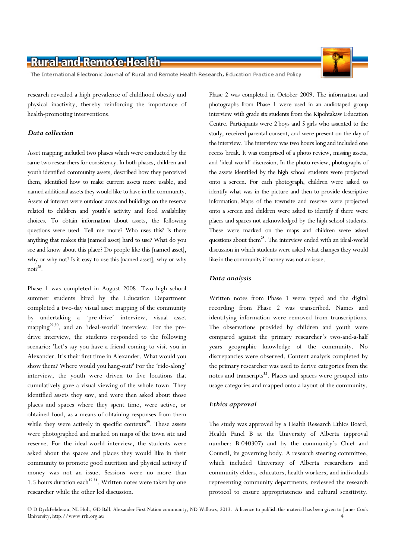The International Electronic Journal of Rural and Remote Health Research, Education Practice and Policy

research revealed a high prevalence of childhood obesity and physical inactivity, thereby reinforcing the importance of health-promoting interventions.

### Data collection

Asset mapping included two phases which were conducted by the same two researchers for consistency. In both phases, children and youth identified community assets, described how they perceived them, identified how to make current assets more usable, and named additional assets they would like to have in the community. Assets of interest were outdoor areas and buildings on the reserve related to children and youth's activity and food availability choices. To obtain information about assets, the following questions were used: Tell me more? Who uses this? Is there anything that makes this [named asset] hard to use? What do you see and know about this place? Do people like this [named asset], why or why not? Is it easy to use this [named asset], why or why not? $2^8$ .

Phase 1 was completed in August 2008. Two high school summer students hired by the Education Department completed a two-day visual asset mapping of the community by undertaking a 'pre-drive' interview, visual asset mapping<sup>29,30</sup>, and an 'ideal-world' interview. For the predrive interview, the students responded to the following scenario: 'Let's say you have a friend coming to visit you in Alexander. It's their first time in Alexander. What would you show them? Where would you hang-out?' For the 'ride-along' interview, the youth were driven to five locations that cumulatively gave a visual viewing of the whole town. They identified assets they saw, and were then asked about those places and spaces where they spent time, were active, or obtained food, as a means of obtaining responses from them while they were actively in specific contexts $2^9$ . These assets were photographed and marked on maps of the town site and reserve. For the ideal-world interview, the students were asked about the spaces and places they would like in their community to promote good nutrition and physical activity if money was not an issue. Sessions were no more than 1.5 hours duration each<sup>15,31</sup>. Written notes were taken by one researcher while the other led discussion.

Phase 2 was completed in October 2009. The information and photographs from Phase 1 were used in an audiotaped group interview with grade six students from the Kipohtakaw Education Centre. Participants were 2 boys and 5 girls who assented to the study, received parental consent, and were present on the day of the interview. The interview was two hours long and included one recess break. It was comprised of a photo review, missing assets, and 'ideal-world' discussion. In the photo review, photographs of the assets identified by the high school students were projected onto a screen. For each photograph, children were asked to identify what was in the picture and then to provide descriptive information. Maps of the townsite and reserve were projected onto a screen and children were asked to identify if there were places and spaces not acknowledged by the high school students. These were marked on the maps and children were asked questions about them<sup>28</sup>. The interview ended with an ideal-world discussion in which students were asked what changes they would like in the community if money was not an issue.

### Data analysis

Written notes from Phase 1 were typed and the digital recording from Phase 2 was transcribed. Names and identifying information were removed from transcriptions. The observations provided by children and youth were compared against the primary researcher's two-and-a-half years geographic knowledge of the community. No discrepancies were observed. Content analysis completed by the primary researcher was used to derive categories from the notes and transcripts<sup>32</sup>. Places and spaces were grouped into usage categories and mapped onto a layout of the community.

### Ethics approval

The study was approved by a Health Research Ethics Board, Health Panel B at the University of Alberta (approval number: B-040307) and by the community's Chief and Council, its governing body. A research steering committee, which included University of Alberta researchers and community elders, educators, health workers, and individuals representing community departments, reviewed the research protocol to ensure appropriateness and cultural sensitivity.

© D DyckFehderau, NL Holt, GD Ball, Alexander First Nation community, ND Willows, 2013. A licence to publish this material has been given to James Cook University, http://www.rrh.org.au 4

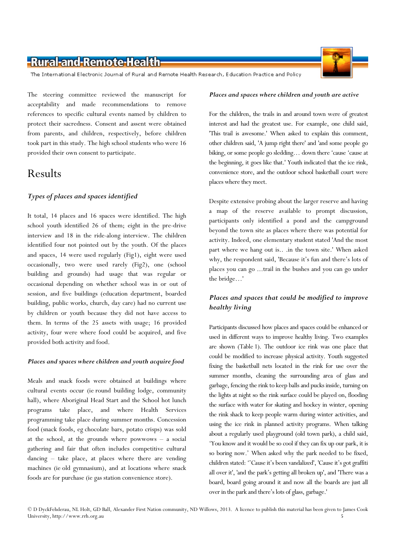The International Electronic Journal of Rural and Remote Health Research, Education Practice and Policy

The steering committee reviewed the manuscript for acceptability and made recommendations to remove references to specific cultural events named by children to protect their sacredness. Consent and assent were obtained from parents, and children, respectively, before children took part in this study. The high school students who were 16 provided their own consent to participate.

## Results

### Types of places and spaces identified

It total, 14 places and 16 spaces were identified. The high school youth identified 26 of them; eight in the pre-drive interview and 18 in the ride-along interview. The children identified four not pointed out by the youth. Of the places and spaces, 14 were used regularly (Fig1), eight were used occasionally, two were used rarely (Fig2), one (school building and grounds) had usage that was regular or occasional depending on whether school was in or out of session, and five buildings (education department, boarded building, public works, church, day care) had no current use by children or youth because they did not have access to them. In terms of the 25 assets with usage; 16 provided activity, four were where food could be acquired, and five provided both activity and food.

### Places and spaces where children and youth acquire food

Meals and snack foods were obtained at buildings where cultural events occur (ie round building lodge, community hall), where Aboriginal Head Start and the School hot lunch programs take place, and where Health Services programming take place during summer months. Concession food (snack foods, eg chocolate bars, potato crisps) was sold at the school, at the grounds where powwows – a social gathering and fair that often includes competitive cultural dancing – take place, at places where there are vending machines (ie old gymnasium), and at locations where snack foods are for purchase (ie gas station convenience store).

#### Places and spaces where children and youth are active

For the children, the trails in and around town were of greatest interest and had the greatest use. For example, one child said, 'This trail is awesome.' When asked to explain this comment, other children said, 'A jump right there' and 'and some people go biking, or some people go sledding… down there 'cause 'cause at the beginning, it goes like that.' Youth indicated that the ice rink, convenience store, and the outdoor school basketball court were places where they meet.

Despite extensive probing about the larger reserve and having a map of the reserve available to prompt discussion, participants only identified a pond and the campground beyond the town site as places where there was potential for activity. Indeed, one elementary student stated 'And the most part where we hang out is.. .in the town site.' When asked why, the respondent said, 'Because it's fun and there's lots of places you can go ...trail in the bushes and you can go under the bridge…'

### Places and spaces that could be modified to improve healthy living

Participants discussed how places and spaces could be enhanced or used in different ways to improve healthy living. Two examples are shown (Table 1). The outdoor ice rink was one place that could be modified to increase physical activity. Youth suggested fixing the basketball nets located in the rink for use over the summer months, cleaning the surrounding area of glass and garbage, fencing the rink to keep balls and pucks inside, turning on the lights at night so the rink surface could be played on, flooding the surface with water for skating and hockey in winter, opening the rink shack to keep people warm during winter activities, and using the ice rink in planned activity programs. When talking about a regularly used playground (old town park), a child said, 'You know and it would be so cool if they can fix up our park, it is so boring now.' When asked why the park needed to be fixed, children stated: ''Cause it's been vandalized', 'Cause it's got graffiti all over it', 'and the park's getting all broken up', and 'There was a board, board going around it and now all the boards are just all over in the park and there's lots of glass, garbage.'

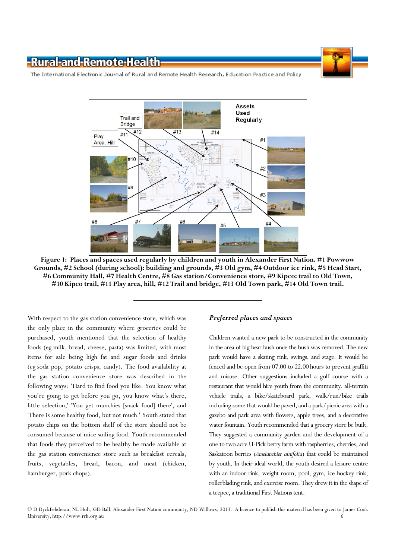

The International Electronic Journal of Rural and Remote Health Research, Education Practice and Policy



Figure 1: Places and spaces used regularly by children and youth in Alexander First Nation. #1 Powwow Grounds, #2 School (during school): building and grounds, #3 Old gym, #4 Outdoor ice rink, #5 Head Start, #6 Community Hall, #7 Health Centre, #8 Gas station/Convenience store, #9 Kipco: trail to Old Town, #10 Kipco trail, #11 Play area, hill, #12 Trail and bridge, #13 Old Town park, #14 Old Town trail.

With respect to the gas station convenience store, which was the only place in the community where groceries could be purchased, youth mentioned that the selection of healthy foods (eg milk, bread, cheese, pasta) was limited, with most items for sale being high fat and sugar foods and drinks (eg soda pop, potato crisps, candy). The food availability at the gas station convenience store was described in the following ways: 'Hard to find food you like. You know what you're going to get before you go, you know what's there, little selection,' 'You get munchies [snack food] there', and 'There is some healthy food, but not much.' Youth stated that potato chips on the bottom shelf of the store should not be consumed because of mice soiling food. Youth recommended that foods they perceived to be healthy be made available at the gas station convenience store such as breakfast cereals, fruits, vegetables, bread, bacon, and meat (chicken, hamburger, pork chops).

#### Preferred places and spaces

Children wanted a new park to be constructed in the community in the area of big bear bush once the bush was removed. The new park would have a skating rink, swings, and stage. It would be fenced and be open from 07.00 to 22.00 hours to prevent graffiti and misuse. Other suggestions included a golf course with a restaurant that would hire youth from the community, all-terrain vehicle trails, a bike/skateboard park, walk/run/bike trails including some that would be paved, and a park/picnic area with a gazebo and park area with flowers, apple trees, and a decorative water fountain. Youth recommended that a grocery store be built. They suggested a community garden and the development of a one to two acre U-Pick berry farm with raspberries, cherries, and Saskatoon berries (Amelanchier alnifolia) that could be maintained by youth. In their ideal world, the youth desired a leisure centre with an indoor rink, weight room, pool, gym, ice hockey rink, rollerblading rink, and exercise room. They drew it in the shape of a teepee, a traditional First Nations tent.

© D DyckFehderau, NL Holt, GD Ball, Alexander First Nation community, ND Willows, 2013. A licence to publish this material has been given to James Cook University, http://www.rrh.org.au 6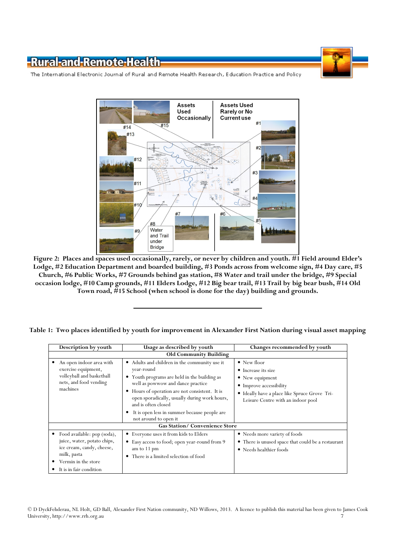

The International Electronic Journal of Rural and Remote Health Research, Education Practice and Policy



Figure 2: Places and spaces used occasionally, rarely, or never by children and youth. #1 Field around Elder's Lodge, #2 Education Department and boarded building, #3 Ponds across from welcome sign, #4 Day care, #5 Church, #6 Public Works, #7 Grounds behind gas station, #8 Water and trail under the bridge, #9 Special occasion lodge, #10 Camp grounds, #11 Elders Lodge, #12 Big bear trail, #13 Trail by big bear bush, #14 Old Town road, #15 School (when school is done for the day) building and grounds.

|  |  | Table 1: Two places identified by youth for improvement in Alexander First Nation during visual asset mapping |  |  |  |
|--|--|---------------------------------------------------------------------------------------------------------------|--|--|--|
|  |  |                                                                                                               |  |  |  |

| Description by youth                                                                                                                                     | Usage as described by youth                                                                                                                                                                                                                                                                                                                       | Changes recommended by youth                                                                                                                                                            |  |  |  |  |  |  |  |
|----------------------------------------------------------------------------------------------------------------------------------------------------------|---------------------------------------------------------------------------------------------------------------------------------------------------------------------------------------------------------------------------------------------------------------------------------------------------------------------------------------------------|-----------------------------------------------------------------------------------------------------------------------------------------------------------------------------------------|--|--|--|--|--|--|--|
| <b>Old Community Building</b>                                                                                                                            |                                                                                                                                                                                                                                                                                                                                                   |                                                                                                                                                                                         |  |  |  |  |  |  |  |
| An open indoor area with<br>exercise equipment,<br>volleyball and basketball<br>nets, and food vending<br>machines                                       | • Adults and children in the community use it<br>year-round<br>• Youth programs are held in the building as<br>well as powwow and dance practice<br>Hours of operation are not consistent. It is<br>open sporadically, usually during work hours,<br>and is often closed<br>It is open less in summer because people are<br>not around to open it | $\bullet$ New floor<br>• Increase its size<br>$\bullet$ New equipment<br>• Improve accessibility<br>• Ideally have a place like Spruce Grove Tri-<br>Leisure Centre with an indoor pool |  |  |  |  |  |  |  |
| <b>Gas Station/Convenience Store</b>                                                                                                                     |                                                                                                                                                                                                                                                                                                                                                   |                                                                                                                                                                                         |  |  |  |  |  |  |  |
| Food available: pop (soda),<br>juice, water, potato chips,<br>ice cream, candy, cheese,<br>milk, pasta<br>Vermin in the store<br>It is in fair condition | • Everyone uses it from kids to Elders<br>• Easy access to food; open year-round from 9<br>am to 11 pm<br>There is a limited selection of food<br>٠                                                                                                                                                                                               | • Needs more variety of foods<br>• There is unused space that could be a restaurant<br>• Needs healthier foods                                                                          |  |  |  |  |  |  |  |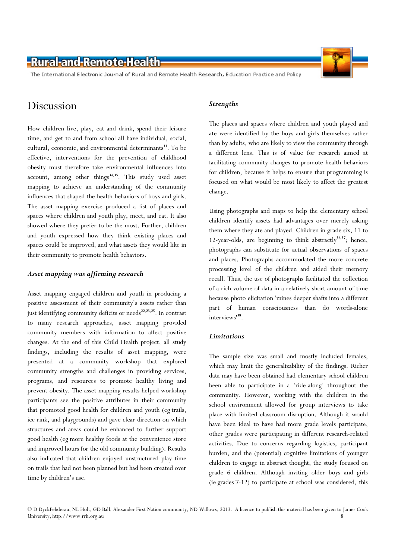The International Electronic Journal of Rural and Remote Health Research, Education Practice and Policy

### Discussion

How children live, play, eat and drink, spend their leisure time, and get to and from school all have individual, social, cultural, economic, and environmental determinants<sup>33</sup>. To be effective, interventions for the prevention of childhood obesity must therefore take environmental influences into account, among other things $34,35$ . This study used asset mapping to achieve an understanding of the community influences that shaped the health behaviors of boys and girls. The asset mapping exercise produced a list of places and spaces where children and youth play, meet, and eat. It also showed where they prefer to be the most. Further, children and youth expressed how they think existing places and spaces could be improved, and what assets they would like in their community to promote health behaviors.

### Asset mapping was affirming research

Asset mapping engaged children and youth in producing a positive assessment of their community's assets rather than just identifying community deficits or needs $22,23,25$ . In contrast to many research approaches, asset mapping provided community members with information to affect positive changes. At the end of this Child Health project, all study findings, including the results of asset mapping, were presented at a community workshop that explored community strengths and challenges in providing services, programs, and resources to promote healthy living and prevent obesity. The asset mapping results helped workshop participants see the positive attributes in their community that promoted good health for children and youth (eg trails, ice rink, and playgrounds) and gave clear direction on which structures and areas could be enhanced to further support good health (eg more healthy foods at the convenience store and improved hours for the old community building). Results also indicated that children enjoyed unstructured play time on trails that had not been planned but had been created over time by children's use.

### **Strengths**

The places and spaces where children and youth played and ate were identified by the boys and girls themselves rather than by adults, who are likely to view the community through a different lens. This is of value for research aimed at facilitating community changes to promote health behaviors for children, because it helps to ensure that programming is focused on what would be most likely to affect the greatest change.

Using photographs and maps to help the elementary school children identify assets had advantages over merely asking them where they ate and played. Children in grade six, 11 to 12-year-olds, are beginning to think abstractly $36,37$ ; hence, photographs can substitute for actual observations of spaces and places. Photographs accommodated the more concrete processing level of the children and aided their memory recall. Thus, the use of photographs facilitated the collection of a rich volume of data in a relatively short amount of time because photo elicitation 'mines deeper shafts into a different part of human consciousness than do words-alone interviews'<sup>38</sup> .

### **Limitations**

The sample size was small and mostly included females, which may limit the generalizability of the findings. Richer data may have been obtained had elementary school children been able to participate in a 'ride-along' throughout the community. However, working with the children in the school environment allowed for group interviews to take place with limited classroom disruption. Although it would have been ideal to have had more grade levels participate, other grades were participating in different research-related activities. Due to concerns regarding logistics, participant burden, and the (potential) cognitive limitations of younger children to engage in abstract thought, the study focused on grade 6 children. Although inviting older boys and girls (ie grades 7-12) to participate at school was considered, this



<sup>©</sup> D DyckFehderau, NL Holt, GD Ball, Alexander First Nation community, ND Willows, 2013. A licence to publish this material has been given to James Cook University, http://www.rrh.org.au 8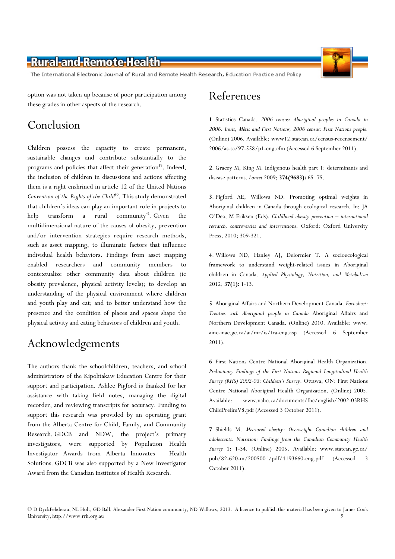The International Electronic Journal of Rural and Remote Health Research, Education Practice and Policy

option was not taken up because of poor participation among these grades in other aspects of the research.

## Conclusion

Children possess the capacity to create permanent, sustainable changes and contribute substantially to the programs and policies that affect their generation<sup>39</sup>. Indeed, the inclusion of children in discussions and actions affecting them is a right enshrined in article 12 of the United Nations Convention of the Rights of the Child<sup>40</sup>. This study demonstrated that children's ideas can play an important role in projects to help transform a rural community<sup>41</sup>. Given the multidimensional nature of the causes of obesity, prevention and/or intervention strategies require research methods, such as asset mapping, to illuminate factors that influence individual health behaviors. Findings from asset mapping enabled researchers and community members to contextualize other community data about children (ie obesity prevalence, physical activity levels); to develop an understanding of the physical environment where children and youth play and eat; and to better understand how the presence and the condition of places and spaces shape the physical activity and eating behaviors of children and youth.

## Acknowledgements

The authors thank the schoolchildren, teachers, and school administrators of the Kipohtakaw Education Centre for their support and participation. Ashlee Pigford is thanked for her assistance with taking field notes, managing the digital recorder, and reviewing transcripts for accuracy. Funding to support this research was provided by an operating grant from the Alberta Centre for Child, Family, and Community Research. GDCB and NDW, the project's primary investigators, were supported by Population Health Investigator Awards from Alberta Innovates – Health Solutions. GDCB was also supported by a New Investigator Award from the Canadian Institutes of Health Research.



1. Statistics Canada. 2006 census: Aboriginal peoples in Canada in 2006: Inuit, Métis and First Nations, 2006 census: First Nations people. (Online) 2006. Available: www12.statcan.ca/census-recensement/ 2006/as-sa/97-558/p1-eng.cfm (Accessed 6 September 2011).

2. Gracey M, King M. Indigenous health part 1: determinants and disease patterns. Lancet 2009; 374(9683): 65-75.

3. Pigford AE, Willows ND. Promoting optimal weights in Aboriginal children in Canada through ecological research. In: JA O'Dea, M Eriksen (Eds). Childhood obesity prevention – international research, controversies and interventions. Oxford: Oxford University Press, 2010; 309-321.

4. Willows ND, Hanley AJ, Delormier T. A socioecological framework to understand weight-related issues in Aboriginal children in Canada. Applied Physiology, Nutrition, and Metabolism 2012; 37(1): 1-13.

5. Aboriginal Affairs and Northern Development Canada. Fact sheet: Treaties with Aboriginal people in Canada Aboriginal Affairs and Northern Development Canada. (Online) 2010. Available: www. ainc-inac.gc.ca/ai/mr/is/tra-eng.asp (Accessed 6 September 2011).

6. First Nations Centre National Aboriginal Health Organization. Preliminary Findings of the First Nations Regional Longitudinal Health Survey (RHS) 2002-03: Children's Survey. Ottawa, ON: First Nations Centre National Aboriginal Health Organization. (Online) 2005. Available: www.naho.ca/documents/fnc/english/2002-03RHS ChildPrelimV8.pdf (Accessed 3 October 2011).

7. Shields M. Measured obesity: Overweight Canadian children and adolescents. Nutrition: Findings from the Canadian Community Health Survey 1: 1-34. (Online) 2005. Available: www.statcan.gc.ca/ pub/82-620-m/2005001/pdf/4193660-eng.pdf (Accessed 3 October 2011).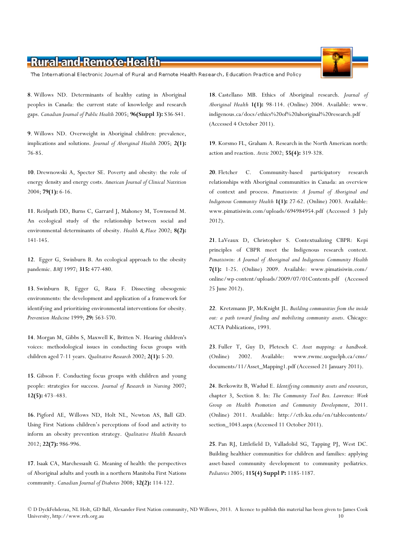The International Electronic Journal of Rural and Remote Health Research, Education Practice and Policy

8. Willows ND. Determinants of healthy eating in Aboriginal peoples in Canada: the current state of knowledge and research gaps. Canadian Journal of Public Health 2005; 96(Suppl 3): S36-S41.

9. Willows ND. Overweight in Aboriginal children: prevalence, implications and solutions. Journal of Aboriginal Health 2005; 2(1): 76-85.

10. Drewnowski A, Specter SE. Poverty and obesity: the role of energy density and energy costs. American Journal of Clinical Nutrition 2004; 79(1): 6-16.

11. Reidpath DD, Burns C, Garrard J, Mahoney M, Townsend M. An ecological study of the relationship between social and environmental determinants of obesity. Health & Place 2002; 8(2): 141-145.

12. Egger G, Swinburn B. An ecological approach to the obesity pandemic. BMJ 1997; 315: 477-480.

13. Swinburn B, Egger G, Raza F. Dissecting obesogenic environments: the development and application of a framework for identifying and prioritizing environmental interventions for obesity. Prevention Medicine 1999; 29: 563-570.

14. Morgan M, Gibbs S, Maxwell K, Britten N. Hearing children's voices: methodological issues in conducting focus groups with children aged 7-11 years. Qualitative Research 2002; 2(1): 5-20.

15. Gibson F. Conducting focus groups with children and young people: strategies for success. Journal of Research in Nursing 2007; 12(5): 473–483.

16. Pigford AE, Willows ND, Holt NL, Newton AS, Ball GD. Using First Nations children's perceptions of food and activity to inform an obesity prevention strategy. Qualitative Health Research 2012; 22(7): 986-996.

17. Isaak CA, Marchessault G. Meaning of health: the perspectives of Aboriginal adults and youth in a northern Manitoba First Nations community. Canadian Journal of Diabetes 2008; 32(2): 114-122.

18. Castellano MB. Ethics of Aboriginal research. Journal of Aboriginal Health 1(1): 98-114. (Online) 2004. Available: www. indigenous.ca/docs/ethics%20of%20aboriginal%20research.pdf (Accessed 4 October 2011).

19. Korsmo FL, Graham A. Research in the North American north: action and reaction. Arctic 2002; 55(4): 319-328.

20. Fletcher C. Community-based participatory research relationships with Aboriginal communities in Canada: an overview of context and process. Pimatisiwin: A Journal of Aboriginal and Indigenous Community Health 1(1): 27-62. (Online) 2003. Available: www.pimatisiwin.com/uploads/694984954.pdf (Accessed 3 July 2012).

21. LaVeaux D, Christopher S. Contextualizing CBPR: Kepi principles of CBPR meet the Indigenous research context. Pimatisiwin: A Journal of Aboriginal and Indigenous Community Health 7(1): 1-25. (Online) 2009. Available: www.pimatisiwin.com/ online/wp-content/uploads/2009/07/01Contents.pdf (Accessed 25 June 2012).

22. Kretzmann JP, McKnight JL. Building communities from the inside out: a path toward finding and mobilizing community assets. Chicago: ACTA Publications, 1993.

23. Fuller T, Guy D, Pletesch C. Asset mapping: a handbook. (Online) 2002. Available: www.rwmc.uoguelph.ca/cms/ documents/11/Asset\_Mapping1.pdf (Accessed 21 January 2011).

24. Berkowitz B, Wadud E. Identifying community assets and resources, chapter 3, Section 8. In: The Community Tool Box. Lawrence: Work Group on Health Promotion and Community Development, 2011. (Online) 2011. Available: http://ctb.ku.edu/en/tablecontents/ section\_1043.aspx (Accessed 11 October 2011).

25. Pan RJ, Littlefield D, Valladolid SG, Tapping PJ, West DC. Building healthier communities for children and families: applying asset-based community development to community pediatrics. Pediatrics 2005; 115(4) Suppl P: 1185-1187.